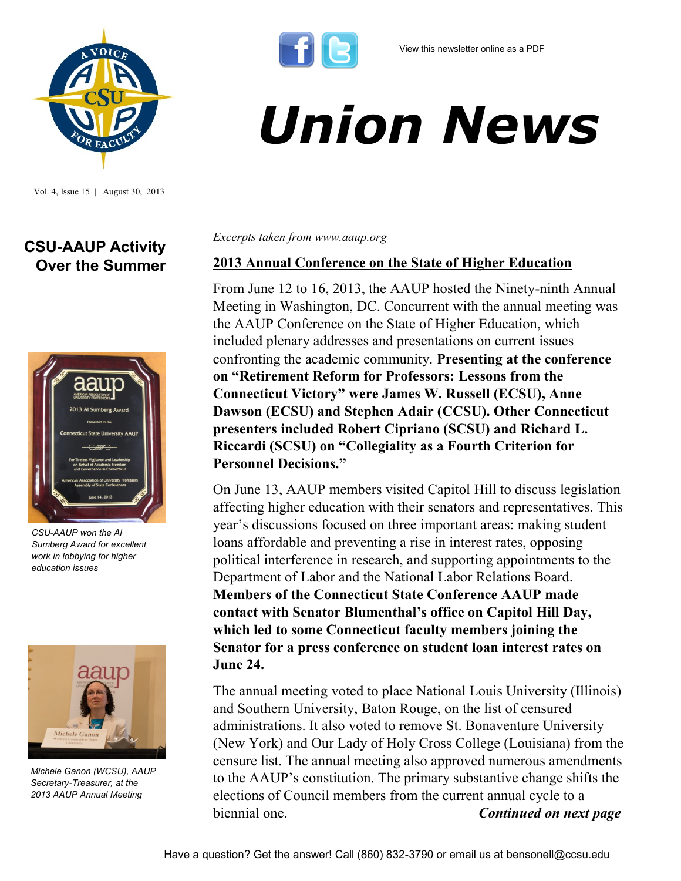*Union News*



Vol. 4, Issue 15 | August 30, 2013

## **CSU-AAUP Activity Over the Summer**



*CSU-AAUP won the Al Sumberg Award for excellent work in lobbying for higher education issues*



*Michele Ganon (WCSU), AAUP Secretary-Treasurer, at the 2013 AAUP Annual Meeting*

*Excerpts taken from www.aaup.org*

## **2013 Annual Conference on the State of Higher Education**

From June 12 to 16, 2013, the AAUP hosted the Ninety-ninth Annual Meeting in Washington, DC. Concurrent with the annual meeting was the AAUP Conference on the State of Higher Education, which included plenary addresses and presentations on current issues confronting the academic community. **Presenting at the conference on "Retirement Reform for Professors: Lessons from the Connecticut Victory" were James W. Russell (ECSU), Anne Dawson (ECSU) and Stephen Adair (CCSU). Other Connecticut presenters included Robert Cipriano (SCSU) and Richard L. Riccardi (SCSU) on "Collegiality as a Fourth Criterion for Personnel Decisions."**

On June 13, AAUP members visited Capitol Hill to discuss legislation affecting higher education with their senators and representatives. This year's discussions focused on three important areas: making student loans affordable and preventing a rise in interest rates, opposing political interference in research, and supporting appointments to the Department of Labor and the National Labor Relations Board. **Members of the Connecticut State Conference AAUP made contact with Senator Blumenthal's office on Capitol Hill Day, which led to some Connecticut faculty members joining the Senator for a press conference on student loan interest rates on June 24.** 

The annual meeting voted to place National Louis University (Illinois) and Southern University, Baton Rouge, on the list of censured administrations. It also voted to remove St. Bonaventure University (New York) and Our Lady of Holy Cross College (Louisiana) from the censure list. The annual meeting also approved numerous amendments to the AAUP's constitution. The primary substantive change shifts the elections of Council members from the current annual cycle to a biennial one. *Continued on next page*